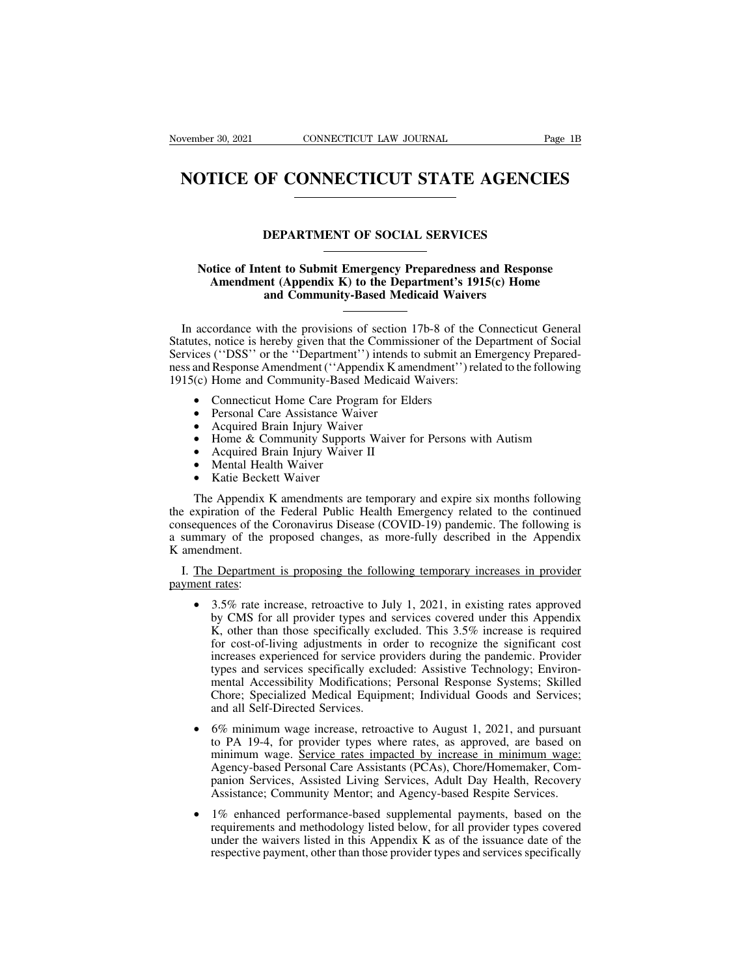# Wember 30, 2021 CONNECTICUT LAW JOURNAL Page 1B<br> **NOTICE OF CONNECTICUT STATE AGENCIES NOTICE OF CONNECTICUT STATE AGENCIES**<br>
DEPARTMENT OF SOCIAL SERVICES<br>
Notice of Intent to Submit Emergency Preparedness and Response

### **NOTILE OF CONNECTICUT STATE AGENCIES**<br> **Notice of Intent to Submit Emergency Preparedness and Response**<br> **Amendment (Appendix K) to the Department's 1915(c) Home**<br>
and Community-Based Medicaid Waivers **American Control Control Control Control Control Control Control Control Control Control Control Control Control Control Control Control Control Control Control Control Community-Based Medicaid Waivers<br>
The Community-Base DEPARTMENT OF SOCIAL SERVICES**<br>
ent to Submit Emergency Preparedness and Resp<br>
nt (Appendix K) to the Department's 1915(c) Hon<br>
and Community-Based Medicaid Waivers

Notice of Intent to Submit Emergency Preparedness and Response<br>Amendment (Appendix K) to the Department's 1915(c) Home<br>and Community-Based Medicaid Waivers<br>In accordance with the provisions of section 17b-8 of the Connecti Notice of Intent to Submit Emergency Preparedness and Response<br>Amendment (Appendix K) to the Department's 1915(c) Home<br>and Community-Based Medicaid Waivers<br>In accordance with the provisions of section 17b-8 of the Connecti Notice of Intent to Submit Emergency Preparedness and Response<br>Amendment (Appendix K) to the Department's 1915(c) Home<br>and Community-Based Medicaid Waivers<br>In accordance with the provisions of section 17b-8 of the Connecti Amendment (Appendix K) to the Department's 1915(c) Home<br>and Community-Based Medicaid Waivers<br>
In accordance with the provisions of section 17b-8 of the Connecticut General<br>
Statutes, notice is hereby given that the Commis 1915) In accordance with the provisions of section 17b-8 of the Connecticut General<br>
Statutes, notice is hereby given that the Commissioner of the Department of Social<br>
Services ("DSS" or the "Department") intends to submi and Response Amendment ("Appendix K am<br>
(c) Home and Community-Based Medicaid<br>
• Connecticut Home Care Program for El<br>
• Personal Care Assistance Waiver<br>
• Acquired Brain Injury Waiver II<br>
• Mental Health Waiver<br>
• Katie B

- 
- 
- 
- 
- 
- 
- 

• Personal Care Assistance Waiver<br>
• Acquired Brain Injury Waiver<br>
• Home & Community Supports Waiver for Persons with Autism<br>
• Acquired Brain Injury Waiver II<br>
• Mental Health Waiver<br>
• Katie Beckett Waiver<br>
• The Append • Acquired Brain Injury Waiver<br>• Home & Community Supports Waiver for Persons with Autism<br>• Acquired Brain Injury Waiver II<br>• Mental Health Waiver<br>• Katie Beckett Waiver<br>• The Appendix K amendments are temporary and expire • Home & Community Supports Waiver for Persons with Autism<br>• Acquired Brain Injury Waiver II<br>• Mental Health Waiver<br>• Katie Beckett Waiver<br>• The Appendix K amendments are temporary and expire six months following<br>the expir • Acquired Brain Injury Waiver II<br>• Mental Health Waiver<br>• Katie Beckett Waiver<br>The Appendix K amendments are temporary and expire six months following<br>the expiration of the Federal Public Health Emergency related to the c • Mental Hea<br>• Katie Becke<br>The Appendix<br>the expiration of the<br>consequences of the<br>a summary of the<br>K amendment.<br>I. The Departmen The Appendix K amendments are temporary and expire six months following<br>
i.e expiration of the Federal Public Health Emergency related to the continued<br>
insequences of the Coronavirus Disease (COVID-19) pandemic. The foll The Appendix K amendments are temporary and expire six months following<br>the expiration of the Federal Public Health Emergency related to the continued<br>consequences of the Coronavirus Disease (COVID-19) pandemic. The follow

- ary of the proposed changes, as more-fully described in the Appendix<br>dment.<br>
<u>Pepartment is proposing the following temporary increases in provider</u><br>
<u>rates</u>:<br>
3.5% rate increase, retroactive to July 1, 2021, in existing r Frament.<br>
Experiment is proposing the following temporary increases in provider<br>
Trates:<br>
3.5% rate increase, retroactive to July 1, 2021, in existing rates approved<br>
by CMS for all provider types and services covered unde Exercise in provider and supposing the following temporary increases in provider rates:<br>
3.5% rate increase, retroactive to July 1, 2021, in existing rates approved<br>
by CMS for all provider types and services covered under Exercise in provider<br>
<u>rates</u>:<br>
3.5% rate increase, retroactive to July 1, 2021, in existing rates approved<br>
by CMS for all provider types and services covered under this Appendix<br>
K, other than those specifically excluded Trates:<br>
3.5% rate increase, retroactive to July 1, 2021, in existing rates approved<br>
by CMS for all provider types and services covered under this Appendix<br>
K, other than those specifically excluded. This 3.5% increase is 3.5% rate increase, retroactive to July 1, 2021, in existing rates approved<br>by CMS for all provider types and services covered under this Appendix<br>K, other than those specifically excluded. This 3.5% increase is required<br>f 3.5% Tate increase, retroactive to Jury 1, 2021, in existing rates approved<br>by CMS for all provider types and services covered under this Appendix<br>K, other than those specifically excluded. This 3.5% increase is required<br> by CMS for all provider types and services covered under this Appendix<br>
K, other than those specifically excluded. This 3.5% increase is required<br>
for cost-of-living adjustments in order to recognize the significant cost<br> increases experienced for service providers during the pandemic. Provider<br>types and services specifically excluded: Assistive Technology; Environ-<br>mental Accessibility Modifications; Personal Response Systems; Skilled<br>Chor
- types and services specifically excluded: Assistive Technology; Environ-<br>mental Accessibility Modifications; Personal Response Systems; Skilled<br>Chore; Specialized Medical Equipment; Individual Goods and Services;<br>and all S mental Accessibility Modifications; Personal Response Systems; Skilled Chore; Specialized Medical Equipment; Individual Goods and Services; and all Self-Directed Services.<br>6% minimum wage increase, retroactive to August 1, Chore; Specialized Medical Equipment; Individual Goods and Services;<br>and all Self-Directed Services.<br>6% minimum wage increase, retroactive to August 1, 2021, and pursuant<br>to PA 19-4, for provider types where rates, as appr Assistance; Community Mentor; and Agency-based Personic Mentor, and Agency-based Personal Care Assistants (PCAs), Chore/Homemaker, Companion Services, Assisted Living Services, Adult Day Health, Recovery Assistance; Commun to PA 19-4, for provider types where rates, as approved, are based on<br>minimum wage. Service rates impacted by increase in minimum wage:<br>Agency-based Personal Care Assistants (PCAs), Chore/Homemaker, Com-<br>panion Services, A
- minimum wage. Service rates impacted by increase in minimum wage:<br>Agency-based Personal Care Assistants (PCAs), Chore/Homemaker, Com-<br>panion Services, Assisted Living Services, Adult Day Health, Recovery<br>Assistance; Commun Agency-based Personal Care Assistants (PCAs), Chore/Homemaker, Com-<br>panion Services, Assisted Living Services, Adult Day Health, Recovery<br>Assistance; Community Mentor; and Agency-based Respite Services.<br>1% enhanced perform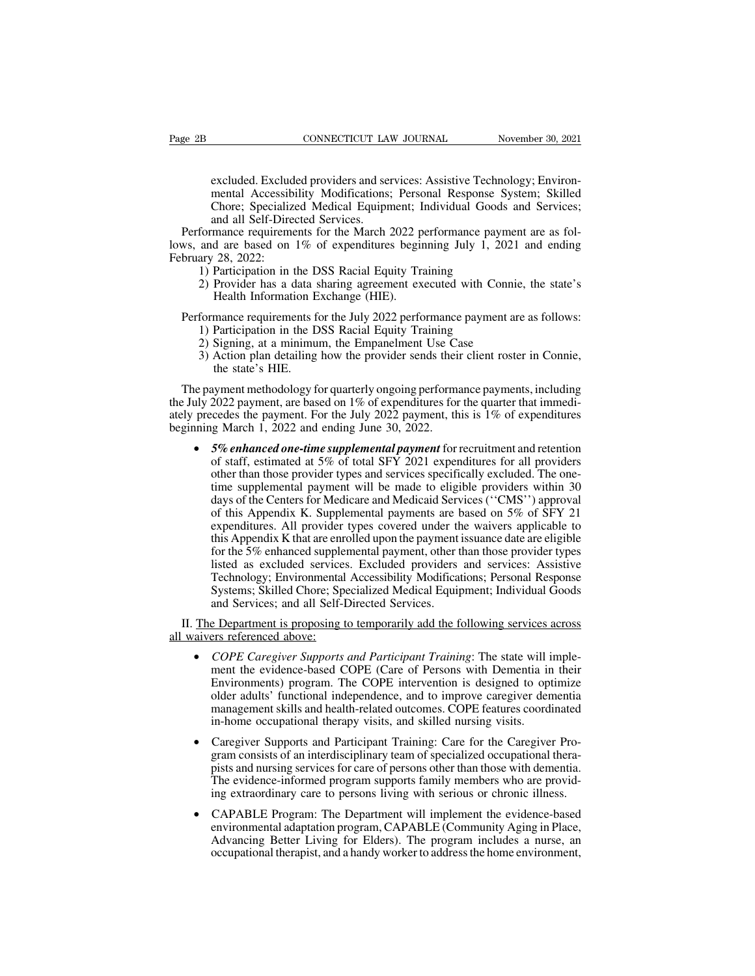CONNECTICUT LAW JOURNAL November 30, 2021<br>
excluded. Excluded providers and services: Assistive Technology; Environ-<br>
mental Accessibility Modifications; Personal Response System; Skilled<br>
Chore; Specialized Medical Equipm CONNECTICUT LAW JOURNAL November 30, 2021<br>excluded. Excluded providers and services: Assistive Technology; Environ-<br>mental Accessibility Modifications; Personal Response System; Skilled<br>Chore; Specialized Medical Equipment CONNECTICUT LAW JOURNAL Movember 30, 2021<br>excluded. Excluded providers and services: Assistive Technology; Environ-<br>mental Accessibility Modifications; Personal Response System; Skilled<br>Chore; Specialized Medical Equipment CONNECTICUT LAN<br>
excluded. Excluded providers and served<br>
mental Accessibility Modifications:<br>
Chore: Specialized Medical Equipn<br>
and all Self-Directed Services.<br>
mance requirements for the March 2<br>
d are based on 1% of ex excluded. Excluded providers and services: Assistive Technology; Environ-<br>mental Accessibility Modifications; Personal Response System; Skilled<br>Chore; Specialized Medical Equipment; Individual Goods and Services;<br>and all S excluded. Excluded providers and services: Assistive Technology; Environ-<br>mental Accessibility Modifications; Personal Response System; Skilled<br>Chore; Specialized Medical Equipment; Individual Goods and Services;<br>and all S Excluded: Excluded providers and services. Assistive Technomental Accessibility Modifications; Personal Response S.<br>Chore; Specialized Medical Equipment; Individual Goods<br>and all Self-Directed Services.<br>formance requiremen

excluded. Exclud<br>mental Accessib<br>Chore; Specializ<br>and all Self-Dire<br>Performance requireme<br>lows, and are based on<br>February 28, 2022:<br>1) Participation in t<br>2) Provider has a d mental Accessionity Modifications, Tersonal Response System, Skinda Chore; Specialized Medical Equipment; Individual Goods and Services;<br>and all Self-Directed Services.<br>formance requirements for the March 2022 performance Enote, Specialized Medical Equipment, 1<br>and all Self-Directed Services.<br>mance requirements for the March 2022 p<br>d are based on 1% of expenditures begin<br>28, 2022:<br>Participation in the DSS Racial Equity Tra<br>Provider has a da Performance requirements for the March 2022 performance payment are as fol-<br>ws, and are based on 1% of expenditures beginning July 1, 2021 and ending<br>bruary 28, 2022:<br>1) Participation in the DSS Racial Equity Training<br>2) P

- 
- and are based on 1% of expenditures beginning July 1, 201 ary 28, 2022:<br>
1) Participation in the DSS Racial Equity Training<br>
2) Provider has a data sharing agreement executed with Con<br>
Health Information Exchange (HIE).<br>
f ary 28, 2022:<br>
1) Participation in the DSS Racial Equity Training<br>
2) Provider has a data sharing agreement executed with Connie<br>
Health Information Exchange (HIE).<br>
formance requirements for the July 2022 performance paym 1) Participation in the DSS Racial Equity Training<br>
2) Provider has a data sharing agreement executed with Connie, the state's<br>
Health Information Exchange (HIE).<br>
formance requirements for the July 2022 performance paymen

- 
- 
- 

Health Information Exchange (HIE).<br>
Performance requirements for the July 2022 performance payment are as follows:<br>
1) Participation in the DSS Racial Equity Training<br>
2) Signing, at a minimum, the Empanelment Use Case<br>
3) Performance requirements for the July 2022 performance payment are as follows:<br>1) Participation in the DSS Racial Equity Training<br>2) Signing, at a minimum, the Empanelment Use Case<br>3) Action plan detailing how the provide Performance requirements for the July 2022 performance payment are as follows:<br>
1) Participation in the DSS Racial Equity Training<br>
2) Signing, at a minimum, the Empanelment Use Case<br>
3) Action plan detailing how the prov 1) Participation in the DSS Racial Equity Training<br>
2) Signing, at a minimum, the Empanelment Use Case<br>
3) Action plan detailing how the provider sends their client roster in Connie,<br>
the state's HIE.<br>
The payment methodo 2) Signing, at a minimum, the Empanelment Use Case<br>3) Action plan detailing how the provider sends their client roster in Connie,<br>the state's HIE.<br>The payment methodology for quarterly ongoing performance payments, includi

and state state.<br>
Summent methodology for quarterly ongoing performance payments, including<br>
2022 payment, are based on 1% of expenditures for the quarter that immedi-<br>
cedes the payment. For the July 2022 payment, this is ayment methodology for quarterly ongoing performance payments, including<br>2022 payment, are based on 1% of expenditures for the quarter that immedi-<br>cedes the payment. For the July 2022 payment, this is 1% of expenditures<br>g 2022 payment, are based on 1% of expenditures for the quarter that immedi-<br>cedes the payment. For the July 2022 payment, this is 1% of expenditures<br>ig March 1, 2022 and ending June 30, 2022.<br>5% enhanced one-time supplemen cedes the payment. For the July 2022 payment, this is 1% of expenditures<br>ig March 1, 2022 and ending June 30, 2022.<br>5% enhanced one-time supplemental payment for recruitment and retention<br>of staff, estimated at 5% of total ig March 1, 2022 and ending June 30, 2022.<br>
5% enhanced one-time supplemental payment for recruitment and retention<br>
of staff, estimated at 5% of total SFY 2021 expenditures for all providers<br>
other than those provider typ 5% enhanced one-time supplemental payment for recruitment and retention<br>of staff, estimated at 5% of total SFY 2021 expenditures for all providers<br>other than those provider types and services specifically excluded. The on The summarized one-time supplemental puyment for including the distribution of staff, estimated at 5% of total SFY 2021 expenditures for all providers other than those provider types and services specifically excluded. The or start, estimated at 3% of total SFT 2021 experienties for an providers<br>other than those provider types and services specifically excluded. The one-<br>time supplemental payment will be made to eligible providers within 30<br> other than those provider types and services specificary excluded. The one-<br>time supplemental payment will be made to eligible providers within 30<br>days of the Centers for Medicare and Medicaid Services ("CMS") approval<br>of the suppenential payment with be made to englote providers within 30 days of the Centers for Medicare and Medicaid Services ("CMS") approval of this Appendix K. Supplemental payments are based on 5% of SFY 21 expenditures. days of the Centers for Medical and Medicial Services (CMS) ) approval<br>of this Appendix K. Supplemental payments are based on 5% of SFY 21<br>expenditures. All provider types covered under the waivers applicable to<br>this Appen or dis Appendix R. Supplemental payments are despenditures. All provider types covered under the speed of this Appendix K that are enrolled upon the payment for the 5% enhanced supplemental payment, other t listed as exclu this Appendix K that are enrolled upon the payment issuance date are eligible<br>for the 5% enhanced supplemental payment, other than those provider types<br>listed as excluded services. Excluded providers and services: Assistiv all waivers referenced supplemental payment, other than those provider types<br>
isted as excluded services. Excluded providers and services: Assistive<br>
Technology; Environmental Accessibility Modifications; Personal Response

- Systems; Skilled Chore; Specialized Medical Equipment; Individual Goods and Services; and all Self-Directed Services.<br>
Experiment is proposing to temporarily add the following services across<br>
respective the evidence-based Environment is proposing to temporarily add the following services across<br>and Services; and all Self-Directed Services.<br>Environment is proposing to temporarily add the following services across<br>ers referenced above:<br>COPE C indefinite the proposing to temporarily add the following services across<br>ers referenced above:<br>COPE Caregiver Supports and Participant Training: The state will imple-<br>ment the evidence-based COPE (Care of Persons with Dem Example Department is proposing to temporarily add the following services across<br>
ers referenced above:<br>
COPE Caregiver Supports and Participant Training: The state will imple-<br>
ment the evidence-based COPE (Care of Person **• COPE Caregiver Supports and Participant Training:** The state will implement the evidence-based COPE (Care of Persons with Dementia in their Environments) program. The COPE intervention is designed to optimize older adul ment the evidence-based COPE (Care of Persons with Dementia in their<br>Environments) program. The COPE intervention is designed to optimize<br>older adults' functional independence, and to improve caregiver dementia<br>management
- Environments) program. The COPE intervention is designed to optimize older adults' functional independence, and to improve caregiver dementia management skills and health-related outcomes. COPE features coordinated in-home older adults' functional independence, and to improve caregiver dementia<br>management skills and health-related outcomes. COPE features coordinated<br>in-home occupational therapy visits, and skilled nursing visits.<br>Caregiver S management skills and health-related outcomes. COPE features coordinated<br>in-home occupational therapy visits, and skilled nursing visits.<br>Caregiver Supports and Participant Training: Care for the Caregiver Pro-<br>gram consis Caregiver Supports and Participant Training: Care for the Caregiver Program consists of an interdisciplinary team of specialized occupational thera-<br>pists and nursing services for care of persons other than those with deme
- gram consists of an interdisciplinary team of specialized occupational thera-<br>pists and nursing services for care of persons other than those with dementia.<br>The evidence-informed program supports family members who are pro pists and nursing services for care of persons other than those with dementia.<br>The evidence-informed program supports family members who are provid-<br>ing extraordinary care to persons living with serious or chronic illness.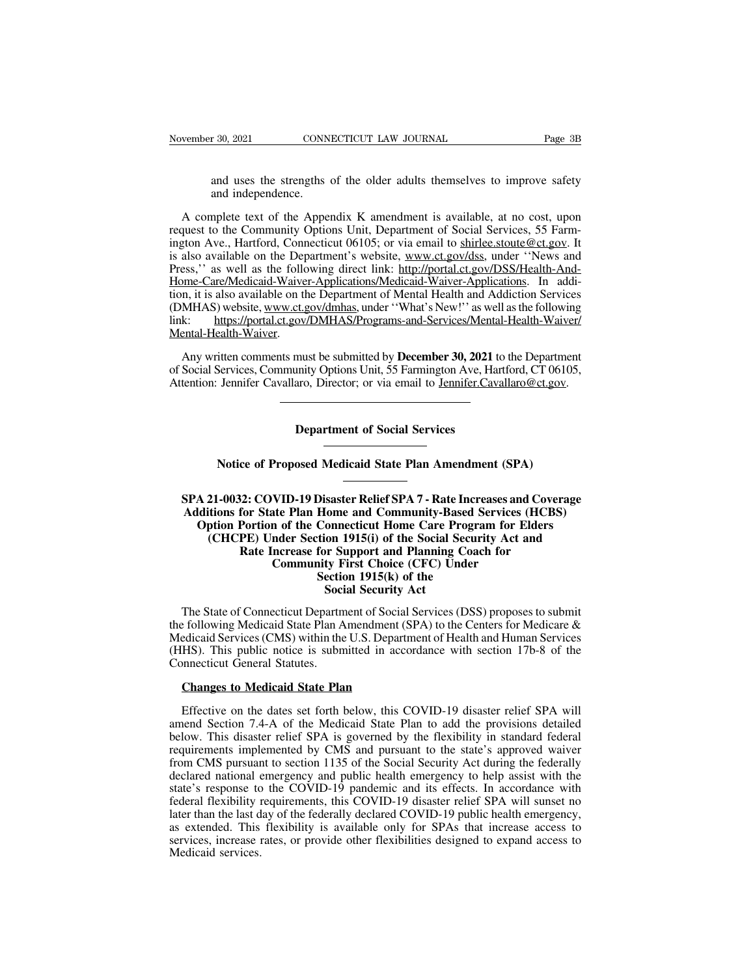r 30, 2021 CONNECTICUT LAW JOURNAL Page 3B<br>and uses the strengths of the older adults themselves to improve safety<br>and independence. r 30, 2021 CONN<br>and uses the strengths<br>and independence.<br>mplete text of the Appe

Vember 30, 2021 CONNECTICUT LAW JOURNAL Page 3B<br>
and uses the strengths of the older adults themselves to improve safety<br>
and independence.<br>
A complete text of the Appendix K amendment is available, at no cost, upon<br>
quest request to the Social Services of the Social Services of the Community and uses the strengths of the older adults themselves to improve safety and independence.<br>A complete text of the Appendix K amendment is available, at and uses the strengths of the older adults themselves to improve safety<br>and independence.<br>A complete text of the Appendix K amendment is available, at no cost, upon<br>request to the Community Options Unit, Department of Soci and uses the strengths of the older adults themselves to improve safety<br>and independence.<br>A complete text of the Appendix K amendment is available, at no cost, upon<br>request to the Community Options Unit, Department of Soci and uses the strengths of the older adults themselves to improve sarety<br>and independence.<br>A complete text of the Appendix K amendment is available, at no cost, upon<br>request to the Community Options Unit, Department of Soci and independence.<br>A complete text of the Appendix K amendment is available, at no cost, upon<br>request to the Community Options Unit, Department of Social Services, 55 Farm-<br>ington Ave., Hartford, Connecticut 06105; or via e A complete text of the Appendix K amendment is available, at no cost, upon<br>request to the Community Options Unit, Department of Social Services, 55 Farm-<br>ington Ave., Hartford, Connecticut 06105; or via email to <u>shirlee.s</u> A complete text of the Appendix K antendment is available, at no cost, upon<br>request to the Community Options Unit, Department of Social Services, 55 Farm-<br>ington Ave., Hartford, Connecticut 06105; or via email to <u>shirlee.</u> lington Ave., Hartford, Connecticut 06105; or via email to shirle stoute @ct.gov. It<br>is also available on the Department's website, <u>www.ct.gov/dss</u>, under "News and<br>Press," as well as the following direct link: http://por Mental-Health-Waiver. ess," as well as the following direct link: http://portal.ct.gov/DSS/Health-And-<br>ome-Care/Medicaid-Waiver-Applications/Medicaid-Waiver-Applications. In addi-<br>n, it is also available on the Department of Mental Health and A Home-Care/Medicald-Walver-Applications/Medicald-Walver-Applications. In addition, it is also available on the Department of Mental Health and Addiction Services (DMHAS) website, www.ct.gov/dmhas, under "What's New!" as wel tion, it is also available on the Department of Mental Health and Addiction Services<br>(DMHAS) website, www.ct.gov/dmhas, under "What's New!" as well as the following<br>link: https://portal.ct.gov/DMHAS/Programs-and-Services/M

must be submitted by **December 30, 2021** the unity Options Unit, 55 Farmington Ave, Halonson, Director; or via email to <u>Jennifer.Cavenance</u> Jennifer Cavallaro, Director; or via email to <u>Jennifer.Cavallaro@ct.gov.</u><br>
Department of Social Services<br>
Notice of Proposed Medicaid State Plan Amendment (SPA)

**SPA 21-0032: COVID-19 Disaster Relief SPA 7 - Rate Increases and Coverage<br>Additions for State Plan Home and Community-Based Services (HCBS)<br>Option Portion of the Connecticut Home Care Program for Elders Additions for Social Services**<br> **Additions for State Plan Amendment (SPA)**<br> **Additions for State Plan Home and Community-Based Services (HCBS)**<br> **Additions for State Plan Home and Community-Based Services (HCBS)**<br> **CHCPE) Notice of Proposed Medicaid State Plan Amendment (SPA)**<br> **A 21-0032: COVID-19 Disaster Relief SPA 7 - Rate Increases and Coverage<br>
ditions for State Plan Home and Community-Based Services (HCBS)<br>
Option Portion of the Con Notice of Proposed Medicaid State Plan Amendment (SPA)**<br> **21-0032: COVID-19 Disaster Relief SPA 7 - Rate Increases and Coverage**<br> **21-0032: COVID-19 Disaster Relief SPA 7 - Rate Increases and Coverage**<br> **121-0032: COVID-1** ce of Proposed Medicaid State Plan Amendment (SPA)<br> **Rate Increases and Covernomic Control Disk Control Control Control for State Plan Home and Community-Based Services (HCBS<br>
Portion of the Connecticut Home Care Program f VID-19 Disaster Relief SPA 7 - Rate Increases and<br>te Plan Home and Community-Based Services (<br>n of the Connecticut Home Care Program for E<br>nder Section 1915(i) of the Social Security Act a<br>increase for Support and Plannin** Disaster Relief SPA 7 - Rate Increase<br>Home and Community-Based S<br>Connecticut Home Care Progration<br>1915(i) of the Social Securator Support and Planning Coac<br>ity First Choice (CFC) Under<br>Section 1915(k) of the<br>Social Securit **Solution Active SPA 7 - Kate 1**<br> **Somecticut Home Care Proton 1915(i)** of the Social Security Applement Security Act<br> **Social Security Act**<br> **Social Security Act**<br> **Social Security Act**<br> **Social Security Act**<br> **Action 191** Option Portion of the Connecticut Home Care Program for Elders<br>
(CHCPE) Under Section 1915(i) of the Social Security Act and<br>
Rate Increase for Support and Planning Coach for<br>
Community First Choice (CFC) Under<br>
Section 1 (CHCPE) Under Section 1915(i) of the Social Security Act and<br>
Rate Increase for Support and Planning Coach for<br>
Community First Choice (CFC) Under<br>
Section 1915(k) of the<br>
Social Security Act<br>
The State of Connecticut Dep

Rate Increase for Support and Planning Coach for<br>
Community First Choice (CFC) Under<br>
Section 1915(k) of the<br>
Social Security Act<br>
The State of Connecticut Department of Social Services (DSS) proposes to submit<br>
the follow Community First Choice (CFC) Under<br>
Section 1915(k) of the<br>
Social Security Act<br>
The State of Connecticut Department of Social Services (DSS) proposes to submit<br>
the following Medicaid State Plan Amendment (SPA) to the Cen Sectic<br>
Soci<br>
Soci<br>
Connecticut Departm<br>
Soci<br>
Refluence COMS (CMS) within the<br>
CHHS). This public notice is subm<br>
Connecticut General Statutes.<br>
Changes to Medicaid State Pla The State of Connecticut Department of Social State Plan Amendment (S. Edicaid Services (CMS) within the U.S. Department (S. This public notice is submitted in accomenticut General Statutes.<br>Changes to Medicaid State Plan the following Medicaid State Plan Amendment (SPA) to the Centers for Medicare &<br>Medicaid Services (CMS) within the U.S. Department of Health and Human Services<br>(HHS). This public notice is submitted in accordance with sect

Medicald Services (CMS) within the U.S. Department of Health and Human Services<br>(HHS). This public notice is submitted in accordance with section 17b-8 of the<br>Connecticut General Statutes.<br>**Changes to Medicaid State Plan**<br> (HHS). This public notice is submitted in accordance with section 17b-8 of the<br>Connecticut General Statutes.<br>**Changes to Medicaid State Plan**<br>Effective on the dates set forth below, this COVID-19 disaster relief SPA will<br>a Connecticut General Statutes.<br> **Changes to Medicaid State Plan**<br>
Effective on the dates set forth below, this COVID-19 disaster relief SPA will<br>
amend Section 7.4-A of the Medicaid State Plan to add the provisions detailed **Changes to Medicaid State Plan**<br>Effective on the dates set forth below, this COVID-19 disaster relief SPA will<br>amend Section 7.4-A of the Medicaid State Plan to add the provisions detailed<br>below. This disaster relief SPA **Changes to Medicald State Plan**<br>Effective on the dates set forth below, this COVID-19 disaster relief SPA will<br>amend Section 7.4-A of the Medicaid State Plan to add the provisions detailed<br>below. This disaster relief SPA Effective on the dates set forth below, this COVID-19 disaster relief SPA will amend Section 7.4-A of the Medicaid State Plan to add the provisions detailed below. This disaster relief SPA is governed by the flexibility in Encetive of the dates set fold below, this COVID-19 disaster relief SPA will<br>amend Section 7.4-A of the Medicaid State Plan to add the provisions detailed<br>below. This disaster relief SPA is governed by the flexibility in s annel Section 7.4-A of the Medicard State Tran to add the provisions detailed<br>below. This disaster relief SPA is governed by the flexibility in standard federal<br>requirements implemented by CMS and pursuant to the state's a below. This disaster felter 31 A is governed by the flexibility in standard federal requirements implemented by CMS and pursuant to the state's approved waiver from CMS pursuant to section 1135 of the Social Security Act d requirements impremented by CMS and pursuant to the state's approved warver<br>from CMS pursuant to section 1135 of the Social Security Act during the federally<br>declared national emergency and public health emergency to help from CMS pursuant to section 1135 of the Social Security Act during the federally declared national emergency and public health emergency to help assist with the state's response to the COVID-19 pandemic and its effects. I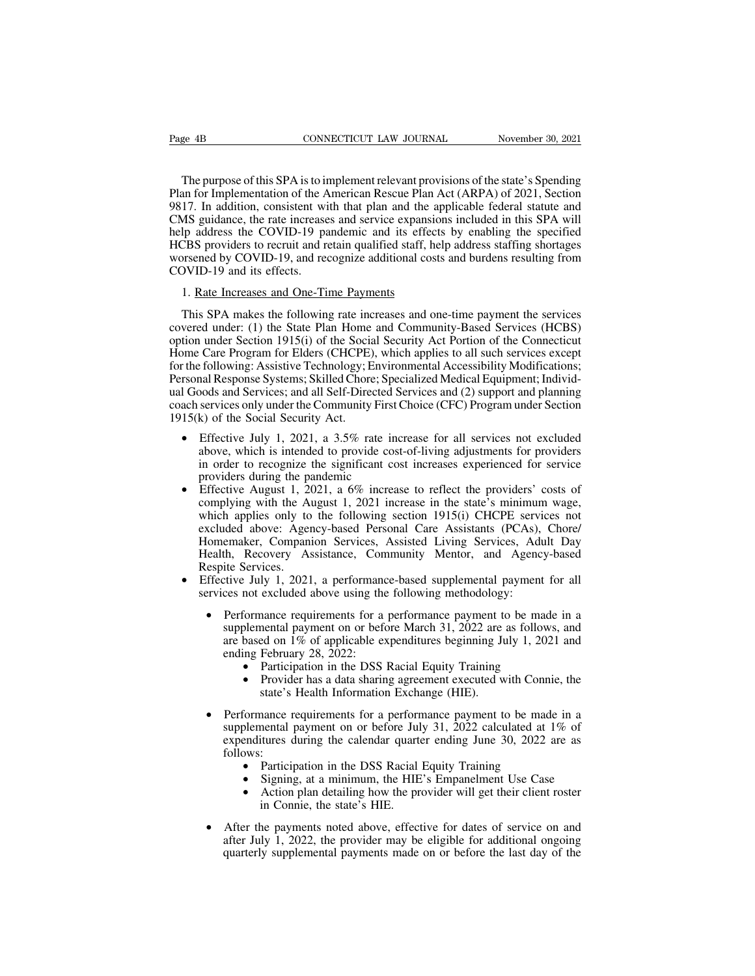EXECT BE THE PURPOSE OF THE PURPOSE OF THE PURPOSE OF this SPA is to implement relevant provisions of the state's Spending<br>The purpose of this SPA is to implement relevant provisions of the state's Spending<br>an for Implemen Page 4B<br>
CONNECTICUT LAW JOURNAL November 30, 2021<br>
The purpose of this SPA is to implement relevant provisions of the state's Spending<br>
Plan for Implementation of the American Rescue Plan Act (ARPA) of 2021, Section<br>
9817 Page 4B CONNECTICUT LAW JOURNAL November 30, 2021<br>The purpose of this SPA is to implement relevant provisions of the state's Spending<br>Plan for Implementation of the American Rescue Plan Act (ARPA) of 2021, Section<br>9817. In Page 4B<br>
CONNECTICUT LAW JOURNAL<br>
The purpose of this SPA is to implement relevant provisions of the state's Spending<br>
Plan for Implementation of the American Rescue Plan Act (ARPA) of 2021, Section<br>
9817. In addition, con The purpose of this SPA is to implement relevant provisions of the state's Spending<br>Plan for Implementation of the American Rescue Plan Act (ARPA) of 2021, Section<br>9817. In addition, consistent with that plan and the appli The purpose of this SPA is to implement relevant provisions of the state's Spending Plan for Implementation of the American Rescue Plan Act (ARPA) of 2021, Section 9817. In addition, consistent with that plan and the appli The purpose of this SPA is to implement relevant provisions of the state's Spending<br>Plan for Implementation of the American Rescue Plan Act (ARPA) of 2021, Section<br>9817. In addition, consistent with that plan and the appli The purpose of this St A is to H<br>Plan for Implementation of the A<br>9817. In addition, consistent wi<br>CMS guidance, the rate increase<br>help address the COVID-19 pa<br>HCBS providers to recruit and re<br>COVID-19 and its effects.<br>1. 17. In addition, consistent with that plan and the a<br>MS guidance, the rate increases and service expansic<br>lp address the COVID-19 pandemic and its effec<br>CBS providers to recruit and retain qualified staff, he<br>presenced by Ip address the COVID-19 pandemic and its effects by enabling the specified<br>CBS providers to recruit and retain qualified staff, help address staffing shortages<br>prsened by COVID-19, and recognize additional costs and burden

HCBS providers to recruit and retain qualified staff, help address staffing shortages<br>worsened by COVID-19, and recognize additional costs and burdens resulting from<br>COVID-19 and its effects.<br>1. Rate Increases and One-Time worsened by COVID-19, and recognize additional costs and burdens resulting from<br>COVID-19 and its effects.<br>1. Rate Increases and One-Time Payments<br>This SPA makes the following rate increases and one-time payment the service COVID-19 and its effects.<br>
1. Rate Increases and One-Time Payments<br>
This SPA makes the following rate increases and one-time payment the services<br>
covered under: (1) the State Plan Home and Community-Based Services (HCBS)<br> 1. Rate Increases and One-Time Payments<br>This SPA makes the following rate increases and one-time payment the services<br>covered under: (1) the State Plan Home and Community-Based Services (HCBS)<br>option under Section 1915(i) 1. Rate Increases and One-Time Payments<br>This SPA makes the following rate increases and one-time payment the services<br>covered under: (1) the State Plan Home and Community-Based Services (HCBS)<br>option under Section 1915(i) This SPA makes the following rate increases and one-time payment the services<br>covered under: (1) the State Plan Home and Community-Based Services (HCBS)<br>option under Section 1915(i) of the Social Security Act Portion of th This 31 A makes the following rate increases and one-thile payment the services<br>covered under: (1) the State Plan Home and Community-Based Services (HCBS)<br>option under Section 1915(i) of the Social Security Act Portion of noticed under. (1) the state 1 land Holne and Community-Based Services (HCB3)<br>
option under Section 1915(i) of the Social Security Act Portion of the Connecticut<br>
Home Care Program for Elders (CHCPE), which applies to all Following: Assistive Technology; Environmental Accessibility Modifications;<br>nal Response Systems; Skilled Chore; Specialized Medical Equipment; Individ-<br>pods and Services; and all Self-Directed Services and (2) support and

- nal Response Systems; Skilled Chore; Specialized Medical Equipment; Individ-<br>bods and Services; and all Self-Directed Services and (2) support and planning<br>services only under the Community First Choice (CFC) Program under From and Services; and all Self-Directed Services and (2) support and planning<br>
ach services only under the Community First Choice (CFC) Program under Section<br>
15(k) of the Social Security Act.<br>
• Effective July 1, 2021,
- k) of the Social Security Act.<br>Effective July 1, 2021, a 3.5% rate increase for all services not excluded<br>above, which is intended to provide cost-of-living adjustments for providers<br>in order to recognize the significant c Effective July 1, 2021, a 3.5% rate increase for all services not excluded above, which is intended to provide cost-of-living adjustments for providers in order to recognize the significant cost increases experienced for s Effective July 1, 2021, a 3.3% had interease for an services fior excluded above, which is intended to provide cost-of-living adjustments for providers in order to recognize the significant cost increases experienced for s above, which is intented to provide cost-or-hving adjustments for providers<br>in order to recognize the significant cost increases experienced for service<br>providers during the pandemic<br>Effective August 1, 2021, a 6% increase m order to recognize the significant cost increases experienced for service<br>providers during the pandemic<br>Effective August 1, 2021, a 6% increase to reflect the providers' costs of<br>complying with the August 1, 2021 increas Fifective August 1, 2021, a 6% increase to reflect the providers' costs of<br>complying with the August 1, 2021 increase in the state's minimum wage,<br>which applies only to the following section 1915(i) CHCPE services not<br>excl services not excluded above: Agency-based Personal Care Assistants (PCAs), Chore/<br>Homemaker, Companion Services, Assisted Living Services, Adult Day<br>Health, Recovery Assistance, Community Mentor, and Agency-based<br>Respite S
- 
- emaker, Companion Services, Assisted Living Services, Adult Day<br>th, Recovery Assistance, Community Mentor, and Agency-based<br>ite Services.<br>cive July 1, 2021, a performance-based supplemental payment for all<br>ces not excluded th, Recovery Assistance, Community Mentor, and Agency-based<br>ite Services.<br>tive July 1, 2021, a performance-based supplemental payment for all<br>ces not excluded above using the following methodology:<br>Performance requirements ite Services.<br>
tive July 1, 2021, a performance-based supplemental payment for<br>
ces not excluded above using the following methodology:<br>
Performance requirements for a performance payment to be made<br>
supplemental payment o not excluded above using the following methodology:<br>
Formance requirements for a performance payment to be made in a<br>
blemental payment on or before March 31, 2022 are as follows, and<br>
based on 1% of applicable expenditure • Performance requirements for a performance payment to be made in a supplemental payment on or before March 31, 2022 are as follows, and are based on 1% of applicable expenditures beginning July 1, 2021 and ending Februa
	-
	-
	- supplemental payment of the calendar quarter ending July 1, 2021 and<br>ending February 28, 2022:<br>• Participation in the DSS Racial Equity Training<br>• Provider has a data sharing agreement executed with Connie, the<br>state's Hea expending February 28, 2022:<br>
	• Participation in the DSS Racial Equity Training<br>
	• Provider has a data sharing agreement executed with Connie, the<br>
	state's Health Information Exchange (HIE).<br>
	Performance requirements for a follows:<br>• Participation in the DSS Racial Equity Training • Provider has a data sharing agreement executed with Connie, the state's Health Information Exchange (HIE).<br>
	Performance requirements for a performance payment to be made in a supplemental payment on or before July 31, 20 • Signing, at a minimum, the HIE's Empanelment Use Case<br>
	• Action plannelment Use Case 7 and the DSS Racial Equity Training<br>
	• Participation in the DSS Racial Equity Training<br>
	• Signing, at a minimum, the HIE's Empanelment in Connie, the state's HIE.<br>
	• After the payment of the SS Racial Equity Training<br>
	• Participation in the DSS Racial Equity Training<br>
	• Signing, at a minimum, the HIE's Empanelment Use Case<br>
	• Action plan detailing how the
		-
		-
		-
	- Follows:<br>
	 Participation in the DSS Racial Equity Training<br>
	 Signing, at a minimum, the HIE's Empanelment Use Case<br>
	 Action plan detailing how the provider will get their client roster<br>
	in Connie, the state's HIE.<br>
	Afte • Participation in the DSS Racial Equity Training<br>• Signing, at a minimum, the HIE's Empanelment Use Case<br>• Action plan detailing how the provider will get their client roster<br>in Connie, the state's HIE.<br>After the payments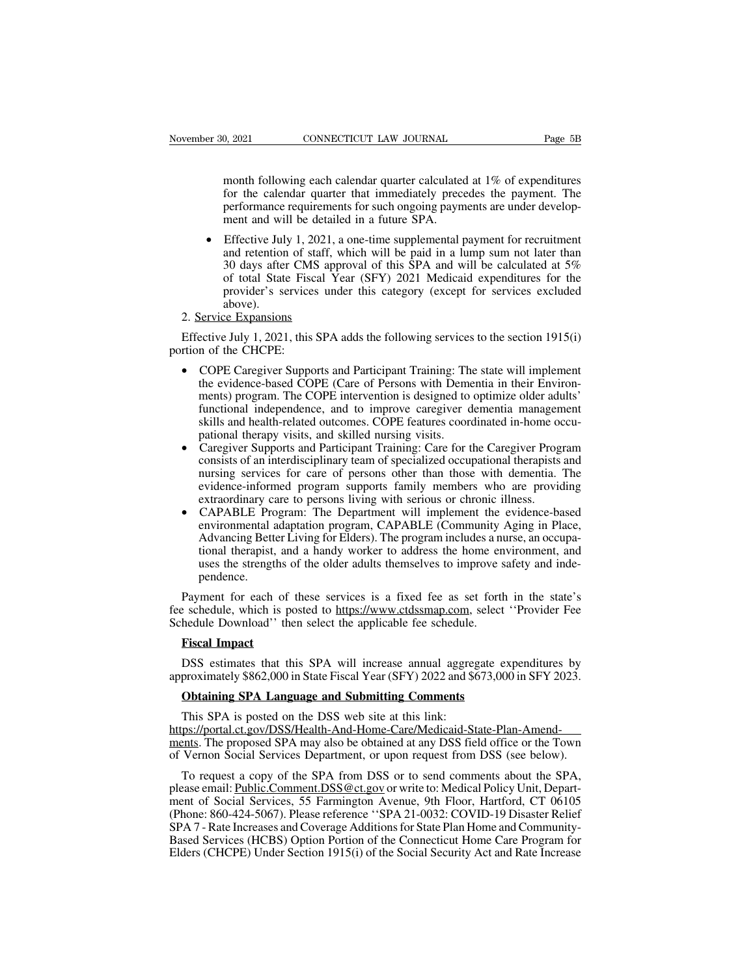0, 2021 CONNECTICUT LAW JOURNAL Page 5B<br>month following each calendar quarter calculated at 1% of expenditures<br>for the calendar quarter that immediately precedes the payment. The<br>performance requirements for such ongoing p for the calendar quarter calculated at 1% of expenditures<br>for the calendar quarter that immediately precedes the payment. The<br>performance requirements for such ongoing payments are under develop-<br>ment and will be detailed performance requirements for such operations of the calendar quarter calculated at 1% of expenditures<br>for the calendar quarter that immediately precedes the payment. The<br>performance requirements for such ongoing payments a month following each calendar quarter calculated at  $1\%$  of expenditures<br>for the calendar quarter that immediately precedes the payment. The<br>performance requirements for such ongoing payments are under develop-<br>ment and

month following each calendar quarter calculated at 1% of expenditures<br>for the calendar quarter that immediately precedes the payment. The<br>performance requirements for such ongoing payments are under develop-<br>ment and will month following each calendar quarter calculated at 1% of expenditures<br>for the calendar quarter that immediately precedes the payment. The<br>performance requirements for such ongoing payments are under develop-<br>ment and will for the calendar quarter that immediately precedes the payment. The performance requirements for such ongoing payments are under development and will be detailed in a future SPA.<br>Effective July 1, 2021, a one-time supplem performance requirements for such ongoing payments are under development and will be detailed in a future SPA.<br>Effective July 1, 2021, a one-time supplemental payment for recruitment<br>and retention of staff, which will be p above).<br>2. Service Expansions • Effective July 1, 2021,<br>and retention of staff,<br>30 days after CMS ap<br>of total State Fiscal<br>provider's services un<br>above).<br>2. <u>Service Expansions</u><br>Effective July 1, 2021, this SPA<br>rtion of the CHCPE. and retention of staff, which will be paid in a lump sum not later than<br>
30 days after CMS approval of this SPA and will be calculated at 5%<br>
of total State Fiscal Year (SFY) 2021 Medicaid expenditures for the<br>
provider's 90 days after CMS approval of this SPA and will be calculated at 5%<br>
of total State Fiscal Year (SFY) 2021 Medicaid expenditures for the<br>
provider's services under this category (except for services excluded<br>
above).<br>
2.

- Froward Burriers and the endanglery (except for services exertated above).<br>Service Expansions<br>ective July 1, 2021, this SPA adds the following services to the section 1915(i)<br>n of the CHCPE:<br>COPE Caregiver Supports and Par Service Expansions<br>ective July 1, 2021, this SPA adds the following services to the section 1915(i)<br>n of the CHCPE:<br>COPE Caregiver Supports and Participant Training: The state will implement<br>the evidence-based COPE (Care o Functive Englanciant Energy and the following services to the section 1915(i) in of the CHCPE:<br>
COPE Caregiver Supports and Participant Training: The state will implement<br>
the evidence-based COPE (Care of Persons with Deme ective July 1, 2021, this SPA adds the following services to the section 1915(i)<br>n of the CHCPE:<br>COPE Caregiver Supports and Participant Training: The state will implement<br>the evidence-based COPE (Care of Persons with Deme • COPE Caregiver Supports and Participant Training: The state will implement<br>the evidence-based COPE (Care of Persons with Dementia in their Environ-<br>ments) program. The COPE intervention is designed to optimize older adul Consists of an interdisciplinary team of specialized occupational in their Environ-<br>ments) program. The COPE intervention is designed to optimize older adults'<br>functional independence, and to improve caregiver dementia man
- Intertually program. The COPE intervention is designed to optimize older adults'<br>functional independence, and to improve caregiver dementia management<br>skills and health-related outcomes. COPE features coordinated in-home o ments) program. The COFE intervention is designed to optimize otder addits<br>functional independence, and to improve caregiver dementia management<br>skills and health-related outcomes. COPE features coordinated in-home occu-<br>p Functionar independence, and to implove caregiver definitional hand health signal health-related outcomes. COPE features coordinated in-home occupational therapy visits, and skilled nursing visits. Caregiver Supports and P pational therapy visits, and skince intising visits.<br>Caregiver Supports and Participant Training: Care for the Caregiver Program<br>consists of an interdisciplinary team of specialized occupational therapists and<br>nursing serv Caregiver Supports and Participant Training: Care for the Caregiver Program consists of an interdisciplinary team of specialized occupational therapists and nursing services for care of persons other than those with dement
- therapies of an interdisciplinary team of specialized occupational therapists and<br>nursing services for care of persons other than those with dementia. The<br>evidence-informed program supports family members who are providing nuising services for each of persons officially members who are providing<br>extraordinary care to persons living with serious or chronic illness.<br>CAPABLE Program: The Department will implement the evidence-based<br>environmenta pendence. • CAPABLE Program: The Department will implement the evidence-based<br>environmental adaptation program, CAPABLE (Community Aging in Place,<br>Advancing Better Living for Elders). The program includes a nurse, an occupa-<br>tional environmental adaptation program, CAPABLE (Community Aging in Place,<br>Advancing Better Living for Elders). The program includes a nurse, an occupa-<br>tional therapist, and a handy worker to address the home environment, and<br>u Advancing Better Living for Elders). The program includes a nuclional therapist, and a handy worker to address the home en uses the strengths of the older adults themselves to improve spendence.<br>Payment for each of these s

Payment for each of these services is a fixed fee as set forth in the state's<br>fee schedule, which is posted to <u>https://www.ctdssmap.com</u>, select "Provider Fee<br>Schedule Download" then select the applicable fee schedule.<br>**F** pendence.<br>
Payment for each of these services is a fixed fee as set forth in the state's<br>
e schedule, which is posted to https://www.ctdssmap.com, select "Provider Fee<br>
hedule Download" then select the applicable fee sched Payment for each of these services is a fixed fee as set forth in the state's<br>fee schedule, which is posted to <u>https://www.ctdssmap.com</u>, select "Provider Fee<br>Schedule Download" then select the applicable fee schedule.<br>**F** 

Exercise exchedule, which is posted to https://www.ctdssmap.com, select<br>hedule Download'' then select the applicable fee schedule.<br>**Fiscal Impact**<br>DSS estimates that this SPA will increase annual aggregate exproximately \$8

Fiscal Impact<br>
DSS estimates that this SPA will increase annual aggreg<br>
proximately \$862,000 in State Fiscal Year (SFY) 2022 and \$6<br> **Obtaining SPA Language and Submitting Comments**<br>
This SPA is posted on the DSS web site https://portal.ct.gov/DSS/Health-And-Home-Care/Medicaid-State-Plan-Amend-DSS estimates that this SPA will increase annual aggregate expenditures by<br>approximately \$862,000 in State Fiscal Year (SFY) 2022 and \$673,000 in SFY 2023.<br>**Obtaining SPA Language and Submitting Comments**<br>This SPA is poste of Vernon Social Services Department of Vernon Social Services Departments<br>
This SPA is posted on the DSS web site at this link:<br>
This SPA is posted on the DSS web site at this link:<br>
https://portal.ct.gov/DSS/Health-And-H **Obtaining SPA Language and Submitting Comments**<br>This SPA is posted on the DSS web site at this link:<br>ps://portal.ct.gov/DSS/Health-And-Home-Care/Medicaid-State-Plan-Amend-<br>ents. The proposed SPA may also be obtained at an

This SPA is posted on the DSS web site at this link:<br>https://portal.ct.gov/DSS/Health-And-Home-Care/Medicaid-State-Plan-Amend-<br>ments. The proposed SPA may also be obtained at any DSS field office or the Town<br>of Vernon Soci This SPA is posted on the DSS web site at this link:<br>
https://portal.ct.gov/DSS/Health-And-Home-Care/Medicaid-State-Plan-Amend-<br>
ments. The proposed SPA may also be obtained at any DSS field office or the Town<br>
of Vernon S https://portal.ct.gov/DSS/Health-And-Home-Care/Medicaid-State-Plan-Amend-<br>ments. The proposed SPA may also be obtained at any DSS field office or the Town<br>of Vernon Social Services Department, or upon request from DSS (see ments. The proposed SPA may also be obtained at any DSS field office or the Town<br>of Vernon Social Services Department, or upon request from DSS (see below).<br>To request a copy of the SPA from DSS or to send comments about t of Vernon Social Services Department, or upon request from DSS (see below).<br>To request a copy of the SPA from DSS or to send comments about the SPA,<br>please email: <u>Public.Comment.DSS@ct.gov</u> or write to: Medical Policy Uni To request a copy of the SPA from DSS or to send comments about the SPA, please email: <u>Public.Comment.DSS@ct.gov</u> or write to: Medical Policy Unit, Department of Social Services, 55 Farmington Avenue, 9th Floor, Hartford,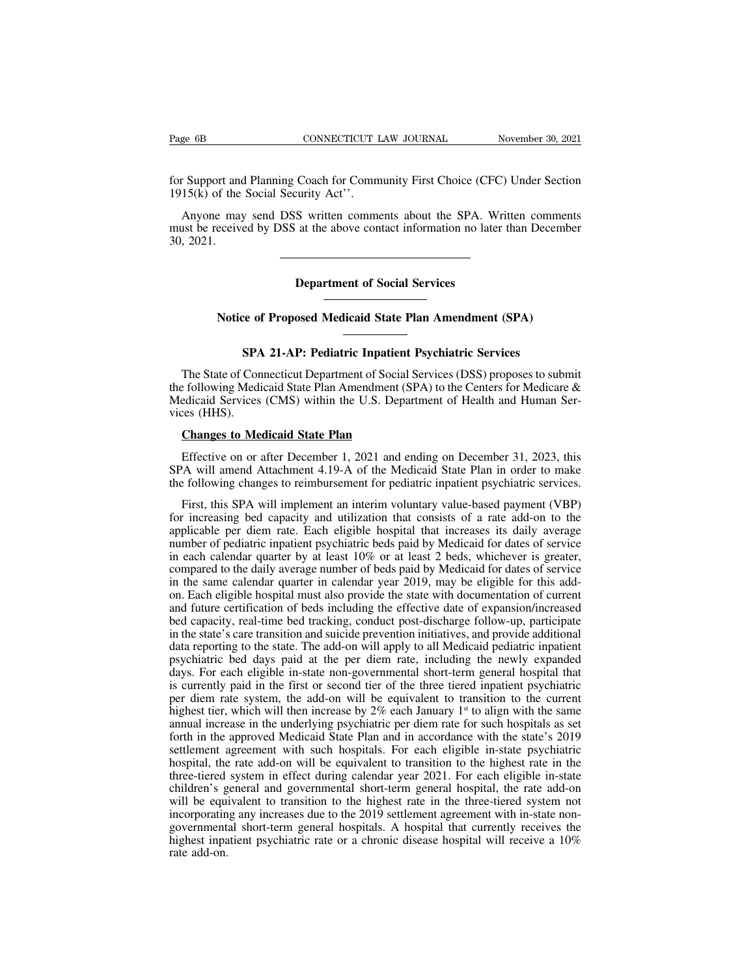Fage 6B<br>
CONNECTICUT LAW JOURNAL<br>
for Support and Planning Coach for Community First Choice (CFC) Under Section<br>
1915(k) of the Social Security Act<sup>32</sup>. Page 6B CONNECTICUT I<br>
for Support and Planning Coach for Comm<br>
1915(k) of the Social Security Act''.<br>
Anyone may send DSS written comments to respired by DSS at the change are

EXECT THE MUST SUPPORT TO MOVED MAKE SUPPORT TO MAKE SUPPORT TO MAKE SUPPORT TO MAKE SUPPORT TO MAKE SUPPORT TO MARY ONE SOCIO TO MAKE SUPPORT Anyone may send DSS written comments about the SPA. Written comments as the rec must be received by DSS at the above contact information no later than December 30, 2021.<br>
Myone may send DSS written comments about the SPA. Written comments must be received by DSS at the above contact information no lat for Support and<br>1915(k) of the<br>Anyone may<br>must be receive<br>30, 2021. Example 18 S written comments about the SPA. We<br>at the above contact information no late<br>**Department of Social Services Department of Social Services**<br> **Notice of Proposed Medicaid State Plan Amendment (SPA)** 

**SPA 21-AP: Pediatric Inpatient Psychiatric Services**<br> **SPA 21-AP: Pediatric Inpatient Psychiatric Services**<br>
Connecticut Department of Social Services (DSS) proposes to sub Notice of Proposed Medicaid State Plan Amendment (SPA)<br>
SPA 21-AP: Pediatric Inpatient Psychiatric Services<br>
The State of Connecticut Department of Social Services (DSS) proposes to submit<br>
Exploiting Medicaid State Plan A Notice of Proposed Medicaid State Plan Amendment (SPA)<br>
SPA 21-AP: Pediatric Inpatient Psychiatric Services<br>
The State of Connecticut Department of Social Services (DSS) proposes to submit<br>
the following Medicaid State Pla Notice of Proposed Medicaid State Plan Amendment (SPA)<br>
SPA 21-AP: Pediatric Inpatient Psychiatric Services<br>
The State of Connecticut Department of Social Services (DSS) proposes to submit<br>
the following Medicaid State Pla **SPA**<br>The State of Conthe following Medi<br>Medicaid Services<br>vices (HHS).<br>Changes to Me **SPA 21-AP: Pediatric Inpatient**<br>The State of Connecticut Department of Social s<br>Exploring Medicaid State Plan Amendment (Since edicaid Services (CMS) within the U.S. Departies<br>(HHS).<br>**Changes to Medicaid State Plan**<br>Effec The State of Connecticut Department of Social Services (DSS) proposes to submit<br>
Effective on or after December 1, 2021 and ending on December 31, 2023, this<br>
Changes to Medicaid State Plan<br>
Effective on or after December the following Medicaid State Plan Amendment (SPA) to the Centers for Medicare &<br>Medicaid Services (CMS) within the U.S. Department of Health and Human Services (HHS).<br>Changes to Medicaid State Plan<br>Effective on or after De

Medicaid Services (CMS) within the U.S. Department of Health and Human Services (HHS).<br> **Changes to Medicaid State Plan**<br>
Effective on or after December 1, 2021 and ending on December 31, 2023, this<br>
SPA will amend Attachm

Changes to Medicaid State Plan<br>Effective on or after December 1, 2021 and ending on December 31, 2023, this<br>'A will amend Attachment 4.19-A of the Medicaid State Plan in order to make<br>
E following changes to reimbursement **Changes to Medicaid State Plan**<br>Effective on or after December 1, 2021 and ending on December 31, 2023, this<br>SPA will amend Attachment 4.19-A of the Medicaid State Plan in order to make<br>the following changes to reimbursem Effective on or after December 1, 2021 and ending on December 31, 2023, this<br>SPA will amend Attachment 4.19-A of the Medicaid State Plan in order to make<br>the following changes to reimbursement for pediatric inpatient psych Effective on or after December 1, 2021 and ending on December 31, 2023, this<br>SPA will amend Attachment 4.19-A of the Medicaid State Plan in order to make<br>the following changes to reimbursement for pediatric inpatient psyc SPA will amend Attachment 4.19-A of the Medicaid State Plan in order to make<br>the following changes to reimbursement for pediatric inpatient psychiatric services.<br>First, this SPA will implement an interim voluntary value-ba the following changes to reimbursement for pediatric inpatient psychiatric services.<br>First, this SPA will implement an interim voluntary value-based payment (VBP)<br>for increasing bed capacity and utilization that consists o First, this SPA will implement an interim voluntary value-based payment (VBP) for increasing bed capacity and utilization that consists of a rate add-on to the applicable per diem rate. Each eligible hospital that increase This, this 31 A will implement an interim voldinary value-based payment (VBT) for increasing bed capacity and utilization that consists of a rate add-on to the applicable per diem rate. Each eligible hospital that increase For increasing bed capacity and utilization that consists of a rate add-on to the<br>applicable per diem rate. Each eligible hospital that increases its daily average<br>number of pediatric inpatient psychiatric beds paid by Med applicable per ultern rate. Each englibe hospital that increases its daily average<br>number of pediatric inpatient psychiatric beds paid by Medicaid for dates of service<br>in each calendar quarter by at least 10% or at least 2 number of pediatric inpatient psychiaatric beds paid by Medicald for dates of service<br>in each calendar quarter by at least 10% or at least 2 beds, whichever is greater,<br>compared to the daily average number of beds paid by In cach calcular quarter by at least 10% of at least 2 beas, whichever is greater, compared to the daily average number of beds paid by Medicaid for dates of service in the same calendar quarter in calendar year 2019, may compared to the dary average number of ocus paid by Medicald for dates of service<br>in the same calendar quarter in calendar year 2019, may be eligible for this add-<br>on. Each eligible hospital must also provide the state wit In the same calcular quarter in calcular year 2019, may be engine for this add-<br>on. Each eligible hospital must also provide the state with documentation of current<br>and future certification of beds including the effective on. Each englot hospital must also provide the state with documentation of current<br>and future certification of beds including the effective date of expansion/increased<br>bed capacity, real-time bed tracking, conduct post-di and ritute certification of ocus including the cricent velate of expansion/increased<br>bed capacity, real-time bed tracking, conduct post-discharge follow-up, participate<br>in the state's care transition and suicide preventio bed capacity, teal-time bed tracking, conduct post-discharge follow-up, participate<br>in the state's care transition and suicide prevention initiatives, and provide additional<br>data reporting to the state. The add-on will ap In the state scale transmon and subclue prevention initiatives, and provide additional<br>data reporting to the state. The add-on will apply to all Medicaid pediatric inpatient<br>psychiatric bed days paid at the per diem rate, data reporting to the state. The add-on will apply to an Medicald pediatic inpatient<br>psychiatric bed days paid at the per diem rate, including the newly expanded<br>days. For each eligible in-state non-governmental short-ter by expansive bed days paid at the per dient rate, including the newty expanded days. For each eligible in-state non-governmental short-term general hospital that is currently paid in the first or second tier of the three t days. For each englote in-state hon-governmental short-term general hospital that<br>is currently paid in the first or second tier of the three tiered inpatient psychiatric<br>per diem rate system, the add-on will be equivalent It is currently paid in the first of second the of the time three tered inpatient psychiatric<br>per diem rate system, the add-on will be equivalent to transition to the current<br>highest tier, which will then increase by 2% ea bet different and system, the add-on with occupivation to transmition to the current highest tier, which will then increase by  $2\%$  each January 1<sup>st</sup> to align with the same annual increase in the underlying psychiatric magnest tich, which will then included by  $2\pi$  cach January 1 to angli with the same<br>annual increase in the underlying psychiatric per diem rate for such hospitals as set<br>forth in the approved Medicaid State Plan and in annual increase in the underlying psychiatric per ulteration and in secondarily for the in-state's 2019 settlement agreement with such hospitals. For each eligible in-state psychiatric hospital, the rate add-on will be equ form in the approved Medical state Tian and in accordance with the state s 2013<br>settlement agreement with such hospitals. For each eligible in-state psychiatric<br>hospital, the rate add-on will be equivalent to transition to scatienting agreement with start hospitals. For each englote in-state psychiatric behinder to transition to the highest rate in the highest rate children's general and governmental short-term general hospital, the rate chi rather-tiered<br>children's g<br>will be equincorporating<br>incorporating<br>highest inpa<br>rate add-on.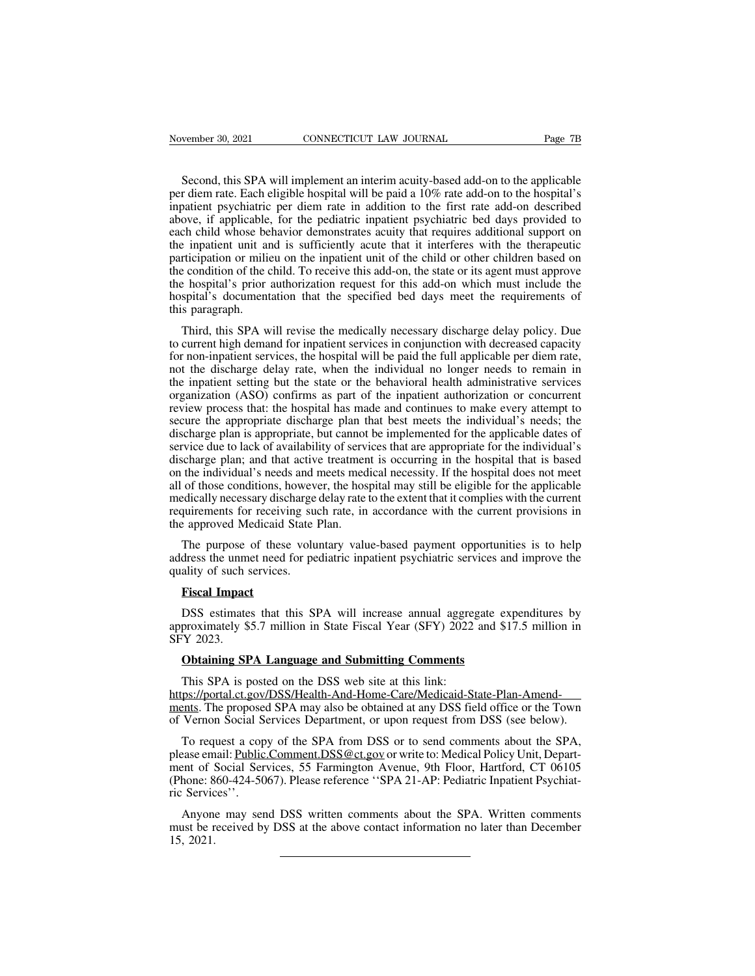Second, this SPA will implement an interim acuity-based add-on to the applicable<br>Second, this SPA will implement an interim acuity-based add-on to the applicable<br>r diem rate. Each eligible hospital will be paid a 10% rate Page 78<br>
Second, this SPA will implement an interim acuity-based add-on to the applicable<br>
per diem rate. Each eligible hospital will be paid a 10% rate add-on to the hospital's<br>
inpatient psychiatric per diem rate in addi November 30, 2021 CONNECTICUT LAW JOURNAL Page 7B<br>Second, this SPA will implement an interim acuity-based add-on to the applicable<br>per diem rate. Each eligible hospital will be paid a 10% rate add-on to the hospital's<br>inpa November 30, 2021 CONNECTICUT LAW JOURNAL Page 7B<br>Second, this SPA will implement an interim acuity-based add-on to the applicable<br>per diem rate. Each eligible hospital will be paid a 10% rate add-on to the hospital's<br>inpa Second, this SPA will implement an interim acuity-based add-on to the applicable<br>per diem rate. Each eligible hospital will be paid a 10% rate add-on to the hospital's<br>inpatient psychiatric per diem rate in addition to the Second, this SPA will implement an interim acuity-based add-on to the applicable<br>per diem rate. Each eligible hospital will be paid a 10% rate add-on to the hospital's<br>inpatient psychiatric per diem rate in addition to the Second, this SPA will implement an interim acuity-based add-on to the applicable<br>per diem rate. Each eligible hospital will be paid a 10% rate add-on to the hospital's<br>inpatient psychiatric per diem rate in addition to the second, this Sr A win impediated an internal activy-based add-on to the approache per diem rate. Each eligible hospital will be paid a 10% rate add-on to the hospital's inpatient psychiatric per diem rate in addition to th for the hospital's performation that the specified bed days meet the requirements of this paragraph.<br>
The hospital's documentation request for the pediatric inpatient psychiatric bed days provided to each child whose behav mpatical position of the pediatric inpatient psychiatric bed days provided to each child whose behavior demonstrates acuity that requires additional support on the inpatient unit and is sufficiently acute that it interfere above, it applicable<br>each child whose be<br>the inpatient unit an<br>participation or milid<br>the condition of the c<br>the hospital's prior<br>hospital's document<br>this paragraph.<br>Third, this SPA w Exercit is inpatient unit and is sufficiently acute that it interferes with the therapeutic relation or milieu on the inpatient unit of the child or other children based on e condition of the child. To receive this add-on, participation or milieu on the inpatient unit of the child or other children based on<br>the condition of the child. To receive this add-on, the state or its agent must approve<br>the hospital's prior authorization request for t

the condition of the child. To receive this add-on, the state or its agent must approve<br>the hospital's prior authorization request for this add-on which must include the<br>hospital's documentation that the specified bed days the hospital's prior authorization request for this add-on which must include the hospital's documentation that the specified bed days meet the requirements of this paragraph.<br>Third, this SPA will revise the medically nece hospital's documentation that the specified bed days meet the requirements of<br>this paragraph.<br>Third, this SPA will revise the medically necessary discharge delay policy. Due<br>to current high demand for inpatient services in this paragraph.<br>Third, this SPA will revise the medically necessary discharge delay policy. Due<br>to current high demand for inpatient services in conjunction with decreased capacity<br>for non-inpatient services, the hospital Third, this SPA will revise the medically necessary discharge delay policy. Due<br>to current high demand for inpatient services in conjunction with decreased capacity<br>for non-inpatient services, the hospital will be paid the Finity, this SFA will revise the intentionly inceeds and policy. Due<br>to current high demand for inpatient services in conjunction with decreased capacity<br>for non-inpatient services, the hospital will be paid the full appli discharge plan is appropriate, but cannot be implemented for the individual is discharge delay rate, when the individual no longer needs to remain in the inpatient setting but the state or the behavioral health administrat For non-inpatical services, the inspiral will be paid the full applicable per dient rate, not the discharge delay rate, when the individual no longer needs to remain in the inpatient setting but the state or the behavioral not the unscharge delay fate, when the mutu/dual no longer heeds to femant in<br>the inpatient setting but the state or the behavioral health administrative services<br>organization (ASO) confirms as part of the inpatient author In the individual's contribution and methods are the input in the interval of the individual or concurrent review process that: the hospital has made and continues to make every attempt to secure the appropriate discharge between the appropriate discharge plan that best meets the individual's needs; the discharge plan is appropriate, but cannot be implemented for the applicable dates of service due to lack of availability of services that a review process triat. The hospital has made and committes to make every attempt to secure the appropriate discharge plan that best meets the individual's needs; the discharge plan is appropriate, but cannot be implemented secure the appropriate userialge plan that less meets the muvidians sheets, the<br>discharge plan is appropriate, but cannot be implemented for the applicable dates of<br>service due to lack of availability of services that are discharge plan is appropriate, but cannot be implemented for the applicable dates of service due to lack of availability of services that are appropriate for the individual's discharge plan; and that active treatment is oc scharge plan; and that active treatment is occurring in the hospital that is based<br>the individual's needs and meets medical necessity. If the hospital does not meet<br>of those conditions, however, the hospital may still be e on the individual's needs and meets medical necessity. If the hospital does not meet<br>all of those conditions, however, the hospital may still be eligible for the applicable<br>medically necessary discharge delay rate to the e all of those conditions, howev<br>medically necessary discharge<br>requirements for receiving such<br>the approved Medicaid State 1<br>The purpose of these volu<br>address the unmet need for pe<br>quality of such services.<br>**Fiscal Impact** 

**Figure 19 Allen International School**<br>
Figure 2 approved Medicaid 3<br>
The purpose of these<br>
dress the unmet need 1<br>
ality of such services.<br> **Fiscal Impact**<br>
DSS estimates that the Example a performance of these voluntary value-based payment opportunities is to help<br>dress the unmet need for pediatric inpatient psychiatric services and improve the<br>ality of such services.<br>**Fiscal Impact**<br>DSS estimates The purpose of these voluntary value-based payment opportunities is to help<br>address the unmet need for pediatric inpatient psychiatric services and improve the<br>quality of such services.<br>**Fiscal Impact**<br>DSS estimates that t

address the unm<br>quality of such s<br>**Fiscal Impact**<br>DSS estimate<br>approximately \$<br>SFY 2023.<br>**Obtaining SP** Fiscal Impact<br>
DSS estimates that this SPA will increase annual aggregate exproximately \$5.7 million in State Fiscal Year (SFY) 2022 and \$<br>
TV 2023.<br> **Obtaining SPA Language and Submitting Comments**<br>
This SPA is posted on

**EXECUTE:**<br> **COSS** estimates that this SPA will increase annual aggreg<br>
proximately \$5.7 million in State Fiscal Year (SFY) 2022<br>
This SPA is posted on the DSS web site at this link:<br>
This SPA is posted on the DSS web site https://portal.ct.gov/DSS/Health-And-Home-Care/Medicaid-State-Plan-Amendapproximately \$5.7 million in State Fiscal Year (SFY) 2022 and \$17.5 million in<br>SFY 2023.<br>**Obtaining SPA Language and Submitting Comments**<br>This SPA is posted on the DSS web site at this link:<br>https://portal.ct.gov/DSS/Heal SFY 2023.<br> **Obtaining SPA Language and Submitting Comments**<br>
This SPA is posted on the DSS web site at this link:<br>
https://portal.ct.gov/DSS/Health-And-Home-Care/Medicaid-State-Plan-Amend-<br>
ments. The proposed SPA may also **Obtaining SPA Language and Submitting Comments**<br>This SPA is posted on the DSS web site at this link:<br>ps://portal.ct.gov/DSS/Health-And-Home-Care/Medicaid-State-Plan-Amend-<br>ents. The proposed SPA may also be obtained at an

This SPA is posted on the DSS web site at this link:<br>
https://portal.ct.gov/DSS/Health-And-Home-Care/Medicaid-State-Plan-Amend-<br>
ments. The proposed SPA may also be obtained at any DSS field office or the Town<br>
of Vernon S This SPA is posted on the DSS web site at this link:<br>https://portal.ct.gov/DSS/Health-And-Home-Care/Medicaid-State-Plan-Amend-<br>ments. The proposed SPA may also be obtained at any DSS field office or the Town<br>of Vernon Soci https://portal.ct.gov/DSS/Health-And-Home-Care/Medicaid-State-Plan-Amend-<br>ments. The proposed SPA may also be obtained at any DSS field office or the Town<br>of Vernon Social Services Department, or upon request from DSS (see ments. The propose<br>of Vernon Social S<br>To request a cop<br>please email: <u>Public</u><br>ment of Social Ser<br>(Phone: 860-424-50<br>ric Services''.<br>Anyone may sen<br>must be received by To request a copy of the SPA from DSS or to send comments about the SPA, ease email: <u>Public.Comment.DSS@ct.gov</u> or write to: Medical Policy Unit, Departent of Social Services, 55 Farmington Avenue, 9th Floor, Hartford, CT To request a copy of the SPA from DSS or to send comments about the SPA,<br>please email: <u>Public.Comment.DSS@ct.gov</u> or write to: Medical Policy Unit, Depart-<br>ment of Social Services, 55 Farmington Avenue, 9th Floor, Hartfor please em<br>ment of !<br>(Phone: 8<br>ric Servic<br>Anyon<br>must be r<br>15, 2021.